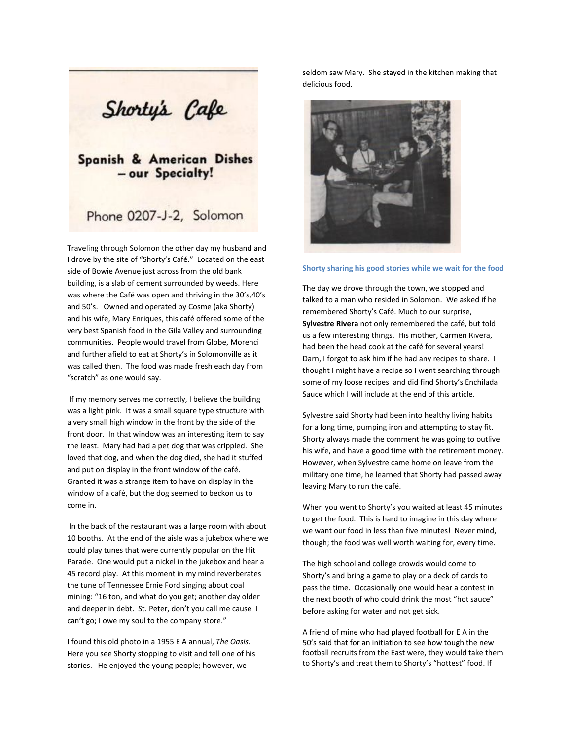Shorty's Cafe

## **Spanish & American Dishes** - our Specialty!

## Phone 0207-J-2, Solomon

Traveling through Solomon the other day my husband and I drove by the site of "Shorty's Café." Located on the east side of Bowie Avenue just across from the old bank building, is a slab of cement surrounded by weeds. Here was where the Café was open and thriving in the 30's,40's and 50's. Owned and operated by Cosme (aka Shorty) and his wife, Mary Enriques, this café offered some of the very best Spanish food in the Gila Valley and surrounding communities. People would travel from Globe, Morenci and further afield to eat at Shorty's in Solomonville as it was called then. The food was made fresh each day from "scratch" as one would say.

If my memory serves me correctly, I believe the building was a light pink. It was a small square type structure with a very small high window in the front by the side of the front door. In that window was an interesting item to say the least. Mary had had a pet dog that was crippled. She loved that dog, and when the dog died, she had it stuffed and put on display in the front window of the café. Granted it was a strange item to have on display in the window of a café, but the dog seemed to beckon us to come in.

In the back of the restaurant was a large room with about 10 booths. At the end of the aisle was a jukebox where we could play tunes that were currently popular on the Hit Parade. One would put a nickel in the jukebox and hear a 45 record play. At this moment in my mind reverberates the tune of Tennessee Ernie Ford singing about coal mining: "16 ton, and what do you get; another day older and deeper in debt. St. Peter, don't you call me cause I can't go; I owe my soul to the company store."

I found this old photo in a 1955 E A annual, *The Oasis*. Here you see Shorty stopping to visit and tell one of his stories. He enjoyed the young people; however, we

seldom saw Mary. She stayed in the kitchen making that delicious food.



## **Shorty sharing his good stories while we wait for the food**

The day we drove through the town, we stopped and talked to a man who resided in Solomon. We asked if he remembered Shorty's Café. Much to our surprise, **Sylvestre Rivera** not only remembered the café, but told us a few interesting things. His mother, Carmen Rivera, had been the head cook at the café for several years! Darn, I forgot to ask him if he had any recipes to share. I thought I might have a recipe so I went searching through some of my loose recipes and did find Shorty's Enchilada Sauce which I will include at the end of this article.

Sylvestre said Shorty had been into healthy living habits for a long time, pumping iron and attempting to stay fit. Shorty always made the comment he was going to outlive his wife, and have a good time with the retirement money. However, when Sylvestre came home on leave from the military one time, he learned that Shorty had passed away leaving Mary to run the café.

When you went to Shorty's you waited at least 45 minutes to get the food. This is hard to imagine in this day where we want our food in less than five minutes! Never mind, though; the food was well worth waiting for, every time.

The high school and college crowds would come to Shorty's and bring a game to play or a deck of cards to pass the time. Occasionally one would hear a contest in the next booth of who could drink the most "hot sauce" before asking for water and not get sick.

A friend of mine who had played football for E A in the 50's said that for an initiation to see how tough the new football recruits from the East were, they would take them to Shorty's and treat them to Shorty's "hottest" food. If